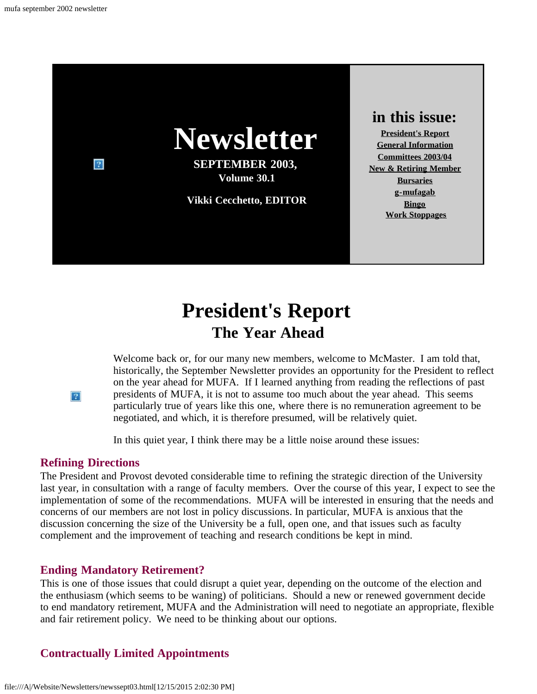

# **President's Report The Year Ahead**

Welcome back or, for our many new members, welcome to McMaster. I am told that, historically, the September Newsletter provides an opportunity for the President to reflect on the year ahead for MUFA. If I learned anything from reading the reflections of past presidents of MUFA, it is not to assume too much about the year ahead. This seems particularly true of years like this one, where there is no remuneration agreement to be negotiated, and which, it is therefore presumed, will be relatively quiet.

In this quiet year, I think there may be a little noise around these issues:

#### **Refining Directions**

<span id="page-0-0"></span> $|2|$ 

The President and Provost devoted considerable time to refining the strategic direction of the University last year, in consultation with a range of faculty members. Over the course of this year, I expect to see the implementation of some of the recommendations. MUFA will be interested in ensuring that the needs and concerns of our members are not lost in policy discussions. In particular, MUFA is anxious that the discussion concerning the size of the University be a full, open one, and that issues such as faculty complement and the improvement of teaching and research conditions be kept in mind.

#### **Ending Mandatory Retirement?**

This is one of those issues that could disrupt a quiet year, depending on the outcome of the election and the enthusiasm (which seems to be waning) of politicians. Should a new or renewed government decide to end mandatory retirement, MUFA and the Administration will need to negotiate an appropriate, flexible and fair retirement policy. We need to be thinking about our options.

#### **Contractually Limited Appointments**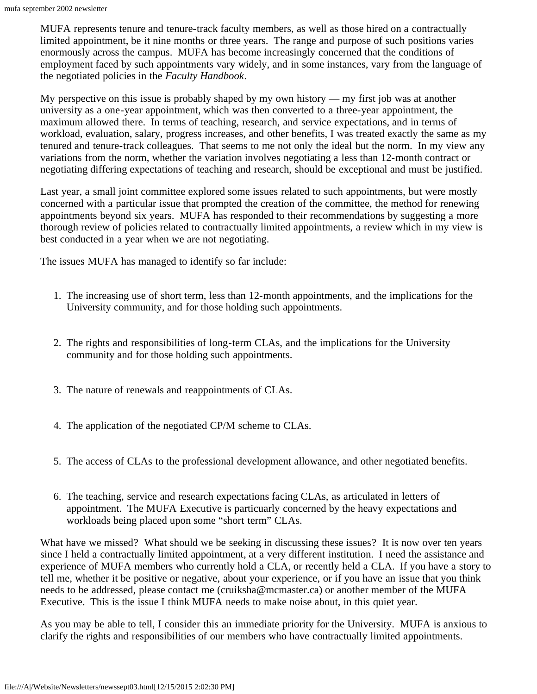MUFA represents tenure and tenure-track faculty members, as well as those hired on a contractually limited appointment, be it nine months or three years. The range and purpose of such positions varies enormously across the campus. MUFA has become increasingly concerned that the conditions of employment faced by such appointments vary widely, and in some instances, vary from the language of the negotiated policies in the *Faculty Handbook*.

My perspective on this issue is probably shaped by my own history — my first job was at another university as a one-year appointment, which was then converted to a three-year appointment, the maximum allowed there. In terms of teaching, research, and service expectations, and in terms of workload, evaluation, salary, progress increases, and other benefits, I was treated exactly the same as my tenured and tenure-track colleagues. That seems to me not only the ideal but the norm. In my view any variations from the norm, whether the variation involves negotiating a less than 12-month contract or negotiating differing expectations of teaching and research, should be exceptional and must be justified.

Last year, a small joint committee explored some issues related to such appointments, but were mostly concerned with a particular issue that prompted the creation of the committee, the method for renewing appointments beyond six years. MUFA has responded to their recommendations by suggesting a more thorough review of policies related to contractually limited appointments, a review which in my view is best conducted in a year when we are not negotiating.

The issues MUFA has managed to identify so far include:

- 1. The increasing use of short term, less than 12-month appointments, and the implications for the University community, and for those holding such appointments.
- 2. The rights and responsibilities of long-term CLAs, and the implications for the University community and for those holding such appointments.
- 3. The nature of renewals and reappointments of CLAs.
- 4. The application of the negotiated CP/M scheme to CLAs.
- 5. The access of CLAs to the professional development allowance, and other negotiated benefits.
- 6. The teaching, service and research expectations facing CLAs, as articulated in letters of appointment. The MUFA Executive is particuarly concerned by the heavy expectations and workloads being placed upon some "short term" CLAs.

What have we missed? What should we be seeking in discussing these issues? It is now over ten years since I held a contractually limited appointment, at a very different institution. I need the assistance and experience of MUFA members who currently hold a CLA, or recently held a CLA. If you have a story to tell me, whether it be positive or negative, about your experience, or if you have an issue that you think needs to be addressed, please contact me (cruiksha@mcmaster.ca) or another member of the MUFA Executive. This is the issue I think MUFA needs to make noise about, in this quiet year.

As you may be able to tell, I consider this an immediate priority for the University. MUFA is anxious to clarify the rights and responsibilities of our members who have contractually limited appointments.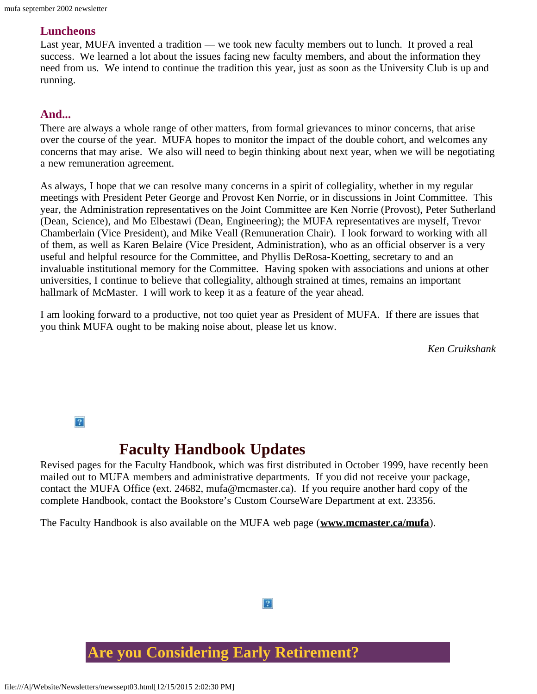#### **Luncheons**

Last year, MUFA invented a tradition — we took new faculty members out to lunch. It proved a real success. We learned a lot about the issues facing new faculty members, and about the information they need from us. We intend to continue the tradition this year, just as soon as the University Club is up and running.

#### **And...**

There are always a whole range of other matters, from formal grievances to minor concerns, that arise over the course of the year. MUFA hopes to monitor the impact of the double cohort, and welcomes any concerns that may arise. We also will need to begin thinking about next year, when we will be negotiating a new remuneration agreement.

As always, I hope that we can resolve many concerns in a spirit of collegiality, whether in my regular meetings with President Peter George and Provost Ken Norrie, or in discussions in Joint Committee. This year, the Administration representatives on the Joint Committee are Ken Norrie (Provost), Peter Sutherland (Dean, Science), and Mo Elbestawi (Dean, Engineering); the MUFA representatives are myself, Trevor Chamberlain (Vice President), and Mike Veall (Remuneration Chair). I look forward to working with all of them, as well as Karen Belaire (Vice President, Administration), who as an official observer is a very useful and helpful resource for the Committee, and Phyllis DeRosa-Koetting, secretary to and an invaluable institutional memory for the Committee. Having spoken with associations and unions at other universities, I continue to believe that collegiality, although strained at times, remains an important hallmark of McMaster. I will work to keep it as a feature of the year ahead.

I am looking forward to a productive, not too quiet year as President of MUFA. If there are issues that you think MUFA ought to be making noise about, please let us know.

*Ken Cruikshank*

 $|2\rangle$ 

## **Faculty Handbook Updates**

<span id="page-2-0"></span>Revised pages for the Faculty Handbook, which was first distributed in October 1999, have recently been mailed out to MUFA members and administrative departments. If you did not receive your package, contact the MUFA Office (ext. 24682, mufa@mcmaster.ca). If you require another hard copy of the complete Handbook, contact the Bookstore's Custom CourseWare Department at ext. 23356.

 $|2\rangle$ 

The Faculty Handbook is also available on the MUFA web page (**[www.mcmaster.ca/mufa](http://www.mcmaster.ca/mufa)**).

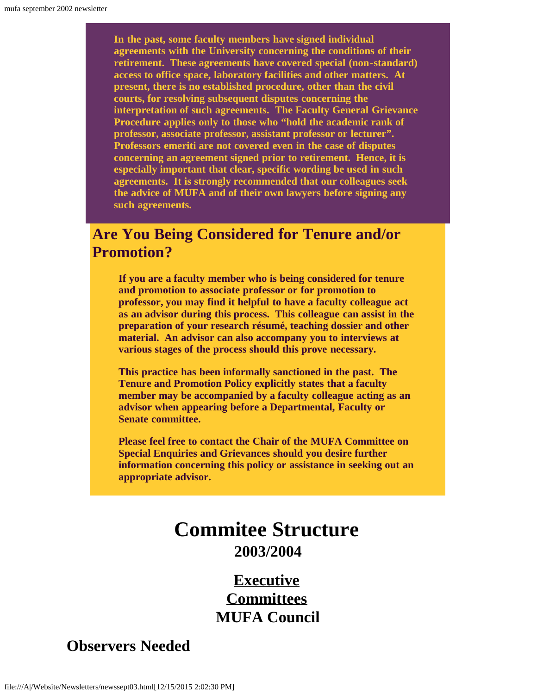**In the past, some faculty members have signed individual agreements with the University concerning the conditions of their retirement. These agreements have covered special (non-standard) access to office space, laboratory facilities and other matters. At present, there is no established procedure, other than the civil courts, for resolving subsequent disputes concerning the interpretation of such agreements. The Faculty General Grievance Procedure applies only to those who "hold the academic rank of professor, associate professor, assistant professor or lecturer". Professors emeriti are not covered even in the case of disputes concerning an agreement signed prior to retirement. Hence, it is especially important that clear, specific wording be used in such agreements. It is strongly recommended that our colleagues seek the advice of MUFA and of their own lawyers before signing any such agreements.**

## **Are You Being Considered for Tenure and/or Promotion?**

**If you are a faculty member who is being considered for tenure and promotion to associate professor or for promotion to professor, you may find it helpful to have a faculty colleague act as an advisor during this process. This colleague can assist in the preparation of your research résumé, teaching dossier and other material. An advisor can also accompany you to interviews at various stages of the process should this prove necessary.**

**This practice has been informally sanctioned in the past. The Tenure and Promotion Policy explicitly states that a faculty member may be accompanied by a faculty colleague acting as an advisor when appearing before a Departmental, Faculty or Senate committee.**

<span id="page-3-0"></span>**Please feel free to contact the Chair of the MUFA Committee on Special Enquiries and Grievances should you desire further information concerning this policy or assistance in seeking out an appropriate advisor.**

## **Commitee Structure 2003/2004**

**[Executive](file:///A|/Website/Newsletters/newexec.htm) [Committees](file:///A|/Website/Newsletters/committe.htm) [MUFA Council](file:///A|/Website/Newsletters/council.htm)**

## **Observers Needed**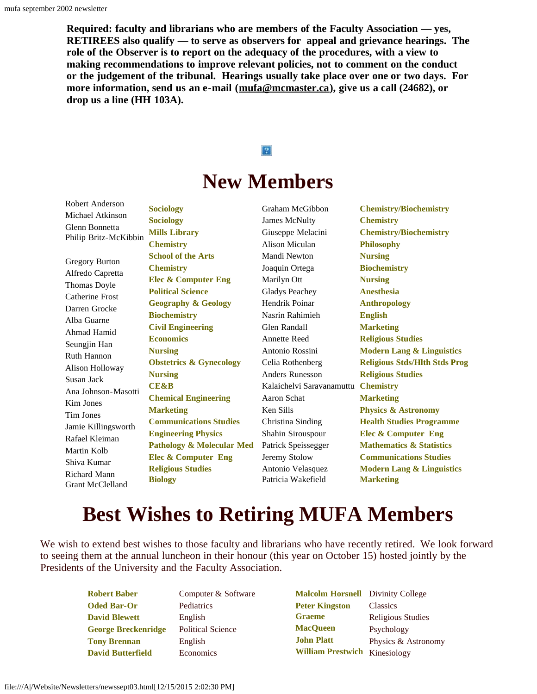**Required: faculty and librarians who are members of the Faculty Association — yes, RETIREES also qualify — to serve as observers for appeal and grievance hearings. The role of the Observer is to report on the adequacy of the procedures, with a view to making recommendations to improve relevant policies, not to comment on the conduct or the judgement of the tribunal. Hearings usually take place over one or two days. For more information, send us an e-mail ([mufa@mcmaster.ca\)](mailto:mufa@mcmaster.ca), give us a call (24682), or drop us a line (HH 103A).**

# $|2|$ **New Members**

Michael Atkinson Glenn Bonnetta Philip Britz-McKibbin Gregory Burton Alfredo Capretta Thomas Doyle

<span id="page-4-0"></span>Robert Anderson

Catherine Frost Darren Grocke Alba Guarne Ahmad Hamid Seungjin Han Ruth Hannon Alison Holloway Susan Jack Ana Johnson-Masotti Kim Jones Tim Jones Jamie Killingsworth Rafael Kleiman Martin Kolb Shiva Kumar Richard Mann Grant McClelland

**Sociology Sociology Mills Library Chemistry School of the Arts Chemistry Elec & Computer Eng Political Science Geography & Geology Biochemistry Civil Engineering Economics Nursing Obstetrics & Gynecology Nursing CE&B Chemical Engineering Marketing Communications Studies Engineering Physics Pathology & Molecular Med Elec & Computer Eng Religious Studies Biology**

Graham McGibbon James McNulty Giuseppe Melacini Alison Miculan Mandi Newton Joaquin Ortega Marilyn Ott Gladys Peachey Hendrik Poinar Nasrin Rahimieh Glen Randall Annette Reed Antonio Rossini Celia Rothenberg Anders Runesson Kalaichelvi Saravanamuttu **Chemistry** Aaron Schat Ken Sills Christina Sinding Shahin Sirouspour Patrick Speissegger Jeremy Stolow Antonio Velasquez Patricia Wakefield **Marketing**

**Chemistry/Biochemistry Chemistry Chemistry/Biochemistry Philosophy Nursing Biochemistry Nursing Anesthesia Anthropology English Marketing Religious Studies Modern Lang & Linguistics Religious Stds/Hlth Stds Prog Religious Studies Marketing Physics & Astronomy Health Studies Programme Elec & Computer Eng Mathematics & Statistics Communications Studies Modern Lang & Linguistics**

# **Best Wishes to Retiring MUFA Members**

We wish to extend best wishes to those faculty and librarians who have recently retired. We look forward to seeing them at the annual luncheon in their honour (this year on October 15) hosted jointly by the Presidents of the University and the Faculty Association.

> **Robert Baber Oded Bar-Or David Blewett George Breckenridge Tony Brennan David Butterfield**

Computer & Software Pediatrics English Political Science English Economics

**Malcolm Horsnell Peter Kingston Graeme MacQueen John Platt William Prestwich** KinesiologyDivinity College **Classics** Religious Studies Psychology Physics & Astronomy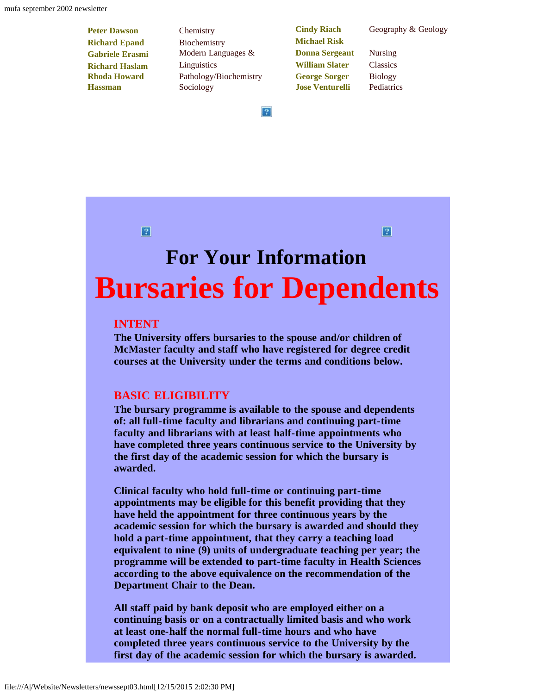- **Peter Dawson Richard Epand Gabriele Erasmi Richard Haslam Rhoda Howard Hassman**
- **Chemistry** Biochemistry Modern Languages & **Linguistics** Pathology/Biochemistry Sociology

**Cindy Riach Michael Risk Donna Sergeant William Slater George Sorger Jose Venturelli**

Geography & Geology

Nursing **Classics** Biology Pediatrics

 $|?|$ 

 $|2|$ 

# <span id="page-5-0"></span>**For Your Information Bursaries for Dependents**

#### **INTENT**

**The University offers bursaries to the spouse and/or children of McMaster faculty and staff who have registered for degree credit courses at the University under the terms and conditions below.**

#### **BASIC ELIGIBILITY**

**The bursary programme is available to the spouse and dependents of: all full-time faculty and librarians and continuing part-time faculty and librarians with at least half-time appointments who have completed three years continuous service to the University by the first day of the academic session for which the bursary is awarded.**

**Clinical faculty who hold full-time or continuing part-time appointments may be eligible for this benefit providing that they have held the appointment for three continuous years by the academic session for which the bursary is awarded and should they hold a part-time appointment, that they carry a teaching load equivalent to nine (9) units of undergraduate teaching per year; the programme will be extended to part-time faculty in Health Sciences according to the above equivalence on the recommendation of the Department Chair to the Dean.**

**All staff paid by bank deposit who are employed either on a continuing basis or on a contractually limited basis and who work at least one-half the normal full-time hours and who have completed three years continuous service to the University by the first day of the academic session for which the bursary is awarded.**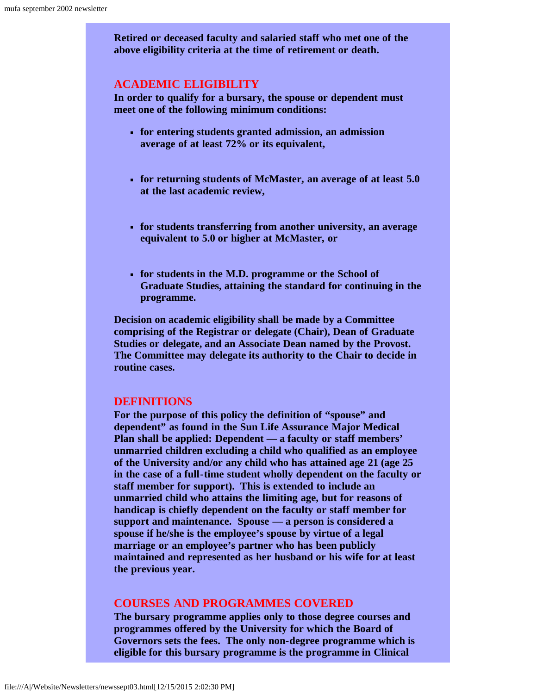**Retired or deceased faculty and salaried staff who met one of the above eligibility criteria at the time of retirement or death.**

#### **ACADEMIC ELIGIBILITY**

**In order to qualify for a bursary, the spouse or dependent must meet one of the following minimum conditions:**

- **for entering students granted admission, an admission average of at least 72% or its equivalent,**
- **for returning students of McMaster, an average of at least 5.0 at the last academic review,**
- **for students transferring from another university, an average equivalent to 5.0 or higher at McMaster, or**
- **for students in the M.D. programme or the School of Graduate Studies, attaining the standard for continuing in the programme.**

**Decision on academic eligibility shall be made by a Committee comprising of the Registrar or delegate (Chair), Dean of Graduate Studies or delegate, and an Associate Dean named by the Provost. The Committee may delegate its authority to the Chair to decide in routine cases.**

#### **DEFINITIONS**

**For the purpose of this policy the definition of "spouse" and dependent" as found in the Sun Life Assurance Major Medical Plan shall be applied: Dependent — a faculty or staff members' unmarried children excluding a child who qualified as an employee of the University and/or any child who has attained age 21 (age 25 in the case of a full-time student wholly dependent on the faculty or staff member for support). This is extended to include an unmarried child who attains the limiting age, but for reasons of handicap is chiefly dependent on the faculty or staff member for support and maintenance. Spouse — a person is considered a spouse if he/she is the employee's spouse by virtue of a legal marriage or an employee's partner who has been publicly maintained and represented as her husband or his wife for at least the previous year.**

#### **COURSES AND PROGRAMMES COVERED**

**The bursary programme applies only to those degree courses and programmes offered by the University for which the Board of Governors sets the fees. The only non-degree programme which is eligible for this bursary programme is the programme in Clinical**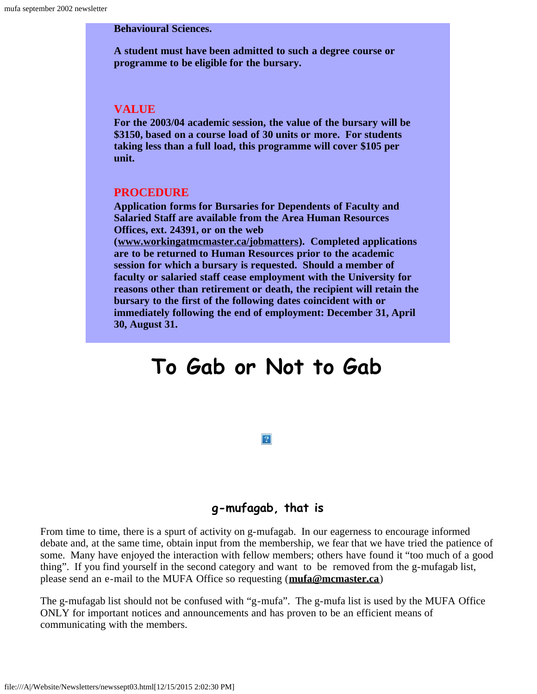#### **Behavioural Sciences.**

**A student must have been admitted to such a degree course or programme to be eligible for the bursary.**

#### **VALUE**

**For the 2003/04 academic session, the value of the bursary will be \$3150, based on a course load of 30 units or more. For students taking less than a full load, this programme will cover \$105 per unit.**

#### **PROCEDURE**

**Application forms for Bursaries for Dependents of Faculty and Salaried Staff are available from the Area Human Resources Offices, ext. 24391, or on the web**

**([www.workingatmcmaster.ca/jobmatters\)](http://www.workingatmcmaster.ca/jobmatters). Completed applications are to be returned to Human Resources prior to the academic session for which a bursary is requested. Should a member of faculty or salaried staff cease employment with the University for reasons other than retirement or death, the recipient will retain the bursary to the first of the following dates coincident with or immediately following the end of employment: December 31, April 30, August 31.**

# <span id="page-7-0"></span>**To Gab or Not to Gab**

#### **g-mufagab, that is**

 $|2|$ 

From time to time, there is a spurt of activity on g-mufagab. In our eagerness to encourage informed debate and, at the same time, obtain input from the membership, we fear that we have tried the patience of some. Many have enjoyed the interaction with fellow members; others have found it "too much of a good thing". If you find yourself in the second category and want to be removed from the g-mufagab list, please send an e-mail to the MUFA Office so requesting (**[mufa@mcmaster.ca](mailto:mufa@mcmaster.ca)**)

The g-mufagab list should not be confused with "g-mufa". The g-mufa list is used by the MUFA Office ONLY for important notices and announcements and has proven to be an efficient means of communicating with the members.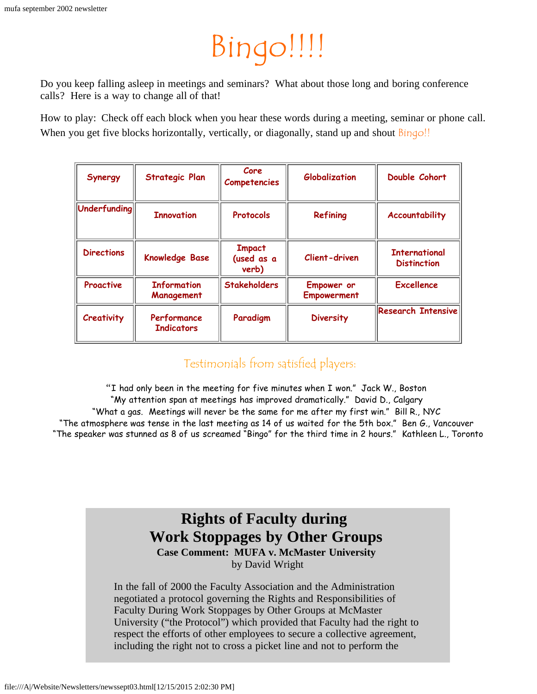# Bingo!!!!

<span id="page-8-0"></span>Do you keep falling asleep in meetings and seminars? What about those long and boring conference calls? Here is a way to change all of that!

How to play: Check off each block when you hear these words during a meeting, seminar or phone call. When you get five blocks horizontally, vertically, or diagonally, stand up and shout **Bingo!!** 

| Synergy           | Strategic Plan                   | Core<br>Competencies                 | Globalization                    | Double Cohort                              |
|-------------------|----------------------------------|--------------------------------------|----------------------------------|--------------------------------------------|
| $ $ Underfunding  | <b>Innovation</b>                | <b>Protocols</b>                     | Refining                         | Accountability                             |
| <b>Directions</b> | <b>Knowledge Base</b>            | <b>Impact</b><br>(used as a<br>verb) | Client-driven                    | <b>International</b><br><b>Distinction</b> |
| Proactive         | <b>Information</b><br>Management | <b>Stakeholders</b>                  | Empower or<br><b>Empowerment</b> | <b>Excellence</b>                          |
| Creativity        | Performance<br><b>Indicators</b> | Paradigm                             | <b>Diversity</b>                 | <b>Research Intensive</b>                  |

## Testimonials from satisfied players:

"I had only been in the meeting for five minutes when I won." Jack W., Boston "My attention span at meetings has improved dramatically." David D., Calgary "What a gas. Meetings will never be the same for me after my first win." Bill R., NYC "The atmosphere was tense in the last meeting as 14 of us waited for the 5th box." Ben G., Vancouver "The speaker was stunned as 8 of us screamed "Bingo" for the third time in 2 hours." Kathleen L., Toronto

### **Rights of Faculty during Work Stoppages by Other Groups Case Comment: MUFA v. McMaster University** by David Wright

<span id="page-8-1"></span>In the fall of 2000 the Faculty Association and the Administration negotiated a protocol governing the Rights and Responsibilities of Faculty During Work Stoppages by Other Groups at McMaster University ("the Protocol") which provided that Faculty had the right to respect the efforts of other employees to secure a collective agreement, including the right not to cross a picket line and not to perform the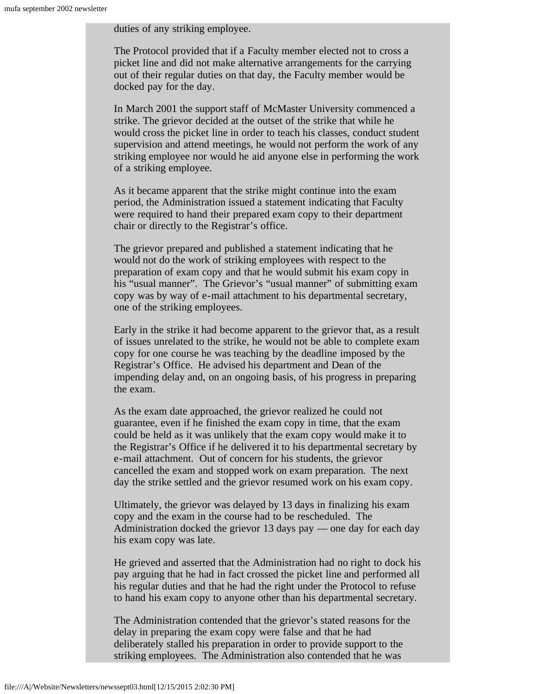duties of any striking employee.

The Protocol provided that if a Faculty member elected not to cross a picket line and did not make alternative arrangements for the carrying out of their regular duties on that day, the Faculty member would be docked pay for the day.

In March 2001 the support staff of McMaster University commenced a strike. The grievor decided at the outset of the strike that while he would cross the picket line in order to teach his classes, conduct student supervision and attend meetings, he would not perform the work of any striking employee nor would he aid anyone else in performing the work of a striking employee.

As it became apparent that the strike might continue into the exam period, the Administration issued a statement indicating that Faculty were required to hand their prepared exam copy to their department chair or directly to the Registrar's office.

The grievor prepared and published a statement indicating that he would not do the work of striking employees with respect to the preparation of exam copy and that he would submit his exam copy in his "usual manner". The Grievor's "usual manner" of submitting exam copy was by way of e-mail attachment to his departmental secretary, one of the striking employees.

Early in the strike it had become apparent to the grievor that, as a result of issues unrelated to the strike, he would not be able to complete exam copy for one course he was teaching by the deadline imposed by the Registrar's Office. He advised his department and Dean of the impending delay and, on an ongoing basis, of his progress in preparing the exam.

As the exam date approached, the grievor realized he could not guarantee, even if he finished the exam copy in time, that the exam could be held as it was unlikely that the exam copy would make it to the Registrar's Office if he delivered it to his departmental secretary by e-mail attachment. Out of concern for his students, the grievor cancelled the exam and stopped work on exam preparation. The next day the strike settled and the grievor resumed work on his exam copy.

Ultimately, the grievor was delayed by 13 days in finalizing his exam copy and the exam in the course had to be rescheduled. The Administration docked the grievor 13 days pay — one day for each day his exam copy was late.

He grieved and asserted that the Administration had no right to dock his pay arguing that he had in fact crossed the picket line and performed all his regular duties and that he had the right under the Protocol to refuse to hand his exam copy to anyone other than his departmental secretary.

The Administration contended that the grievor's stated reasons for the delay in preparing the exam copy were false and that he had deliberately stalled his preparation in order to provide support to the striking employees. The Administration also contended that he was